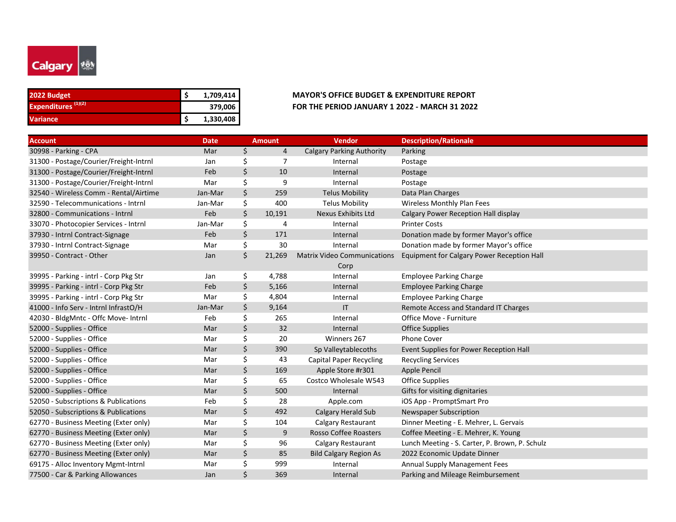

| 2022 Budget                    | 1,709,414 |
|--------------------------------|-----------|
| Expenditures <sup>(1)(2)</sup> | 379,006   |
| <b>Variance</b>                | 1,330,408 |

## **2022 Budget \$ 1,709,414 MAYOR'S OFFICE BUDGET & EXPENDITURE REPORT 379,006 FOR THE PERIOD JANUARY 1 2022 - MARCH 31 2022**

| <b>Account</b>                         | <b>Date</b> | <b>Amount</b> | Vendor                                     | <b>Description/Rationale</b>                   |
|----------------------------------------|-------------|---------------|--------------------------------------------|------------------------------------------------|
| 30998 - Parking - CPA                  | Mar         | \$<br>4       | <b>Calgary Parking Authority</b>           | Parking                                        |
| 31300 - Postage/Courier/Freight-Intrnl | Jan         | \$<br>7       | Internal                                   | Postage                                        |
| 31300 - Postage/Courier/Freight-Intrnl | Feb         | \$<br>10      | Internal                                   | Postage                                        |
| 31300 - Postage/Courier/Freight-Intrnl | Mar         | \$<br>9       | Internal                                   | Postage                                        |
| 32540 - Wireless Comm - Rental/Airtime | Jan-Mar     | \$<br>259     | <b>Telus Mobility</b>                      | Data Plan Charges                              |
| 32590 - Telecommunications - Intrnl    | Jan-Mar     | \$<br>400     | <b>Telus Mobility</b>                      | Wireless Monthly Plan Fees                     |
| 32800 - Communications - Intrnl        | Feb         | \$<br>10,191  | Nexus Exhibits Ltd                         | Calgary Power Reception Hall display           |
| 33070 - Photocopier Services - Intrnl  | Jan-Mar     | \$<br>4       | Internal                                   | <b>Printer Costs</b>                           |
| 37930 - Intrnl Contract-Signage        | Feb         | \$<br>171     | Internal                                   | Donation made by former Mayor's office         |
| 37930 - Intrnl Contract-Signage        | Mar         | \$<br>30      | Internal                                   | Donation made by former Mayor's office         |
| 39950 - Contract - Other               | Jan         | \$<br>21,269  | <b>Matrix Video Communications</b><br>Corp | Equipment for Calgary Power Reception Hall     |
| 39995 - Parking - intrl - Corp Pkg Str | Jan         | \$<br>4,788   | Internal                                   | <b>Employee Parking Charge</b>                 |
| 39995 - Parking - intrl - Corp Pkg Str | Feb         | \$<br>5,166   | Internal                                   | <b>Employee Parking Charge</b>                 |
| 39995 - Parking - intrl - Corp Pkg Str | Mar         | \$<br>4,804   | Internal                                   | <b>Employee Parking Charge</b>                 |
| 41000 - Info Serv - Intrnl InfrastO/H  | Jan-Mar     | \$<br>9,164   | $\mathsf{I}$                               | Remote Access and Standard IT Charges          |
| 42030 - BldgMntc - Offc Move- Intrnl   | Feb         | \$<br>265     | Internal                                   | Office Move - Furniture                        |
| 52000 - Supplies - Office              | Mar         | \$<br>32      | Internal                                   | <b>Office Supplies</b>                         |
| 52000 - Supplies - Office              | Mar         | \$<br>20      | Winners 267                                | <b>Phone Cover</b>                             |
| 52000 - Supplies - Office              | Mar         | \$<br>390     | Sp Valleytablecoths                        | Event Supplies for Power Reception Hall        |
| 52000 - Supplies - Office              | Mar         | \$<br>43      | <b>Capital Paper Recycling</b>             | <b>Recycling Services</b>                      |
| 52000 - Supplies - Office              | Mar         | \$<br>169     | Apple Store #r301                          | Apple Pencil                                   |
| 52000 - Supplies - Office              | Mar         | \$<br>65      | Costco Wholesale W543                      | <b>Office Supplies</b>                         |
| 52000 - Supplies - Office              | Mar         | \$<br>500     | Internal                                   | Gifts for visiting dignitaries                 |
| 52050 - Subscriptions & Publications   | Feb         | \$<br>28      | Apple.com                                  | iOS App - PromptSmart Pro                      |
| 52050 - Subscriptions & Publications   | Mar         | \$<br>492     | Calgary Herald Sub                         | <b>Newspaper Subscription</b>                  |
| 62770 - Business Meeting (Exter only)  | Mar         | \$<br>104     | Calgary Restaurant                         | Dinner Meeting - E. Mehrer, L. Gervais         |
| 62770 - Business Meeting (Exter only)  | Mar         | \$<br>9       | Rosso Coffee Roasters                      | Coffee Meeting - E. Mehrer, K. Young           |
| 62770 - Business Meeting (Exter only)  | Mar         | \$<br>96      | Calgary Restaurant                         | Lunch Meeting - S. Carter, P. Brown, P. Schulz |
| 62770 - Business Meeting (Exter only)  | Mar         | \$<br>85      | <b>Bild Calgary Region As</b>              | 2022 Economic Update Dinner                    |
| 69175 - Alloc Inventory Mgmt-Intrnl    | Mar         | \$<br>999     | Internal                                   | Annual Supply Management Fees                  |
| 77500 - Car & Parking Allowances       | Jan         | \$<br>369     | Internal                                   | Parking and Mileage Reimbursement              |